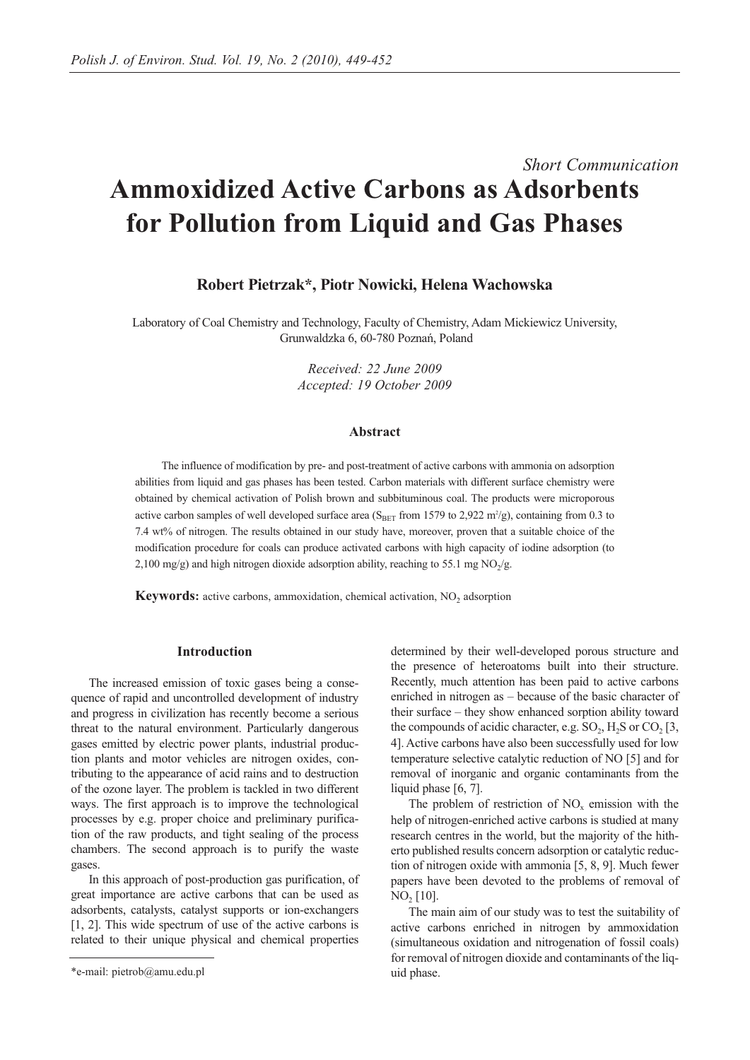# *Short Communication*  **Ammoxidized Active Carbons as Adsorbents for Pollution from Liquid and Gas Phases**

# **Robert Pietrzak\*, Piotr Nowicki, Helena Wachowska**

Laboratory of Coal Chemistry and Technology, Faculty of Chemistry, Adam Mickiewicz University, Grunwaldzka 6, 60-780 Poznań, Poland

> *Received: 22 June 2009 Accepted: 19 October 2009*

## **Abstract**

The influence of modification by pre- and post-treatment of active carbons with ammonia on adsorption abilities from liquid and gas phases has been tested. Carbon materials with different surface chemistry were obtained by chemical activation of Polish brown and subbituminous coal. The products were microporous active carbon samples of well developed surface area  $(S<sub>BET</sub>$  from 1579 to 2,922 m<sup>2</sup>/g), containing from 0.3 to 7.4 wt% of nitrogen. The results obtained in our study have, moreover, proven that a suitable choice of the modification procedure for coals can produce activated carbons with high capacity of iodine adsorption (to 2,100 mg/g) and high nitrogen dioxide adsorption ability, reaching to 55.1 mg  $NO<sub>2</sub>/g$ .

**Keywords:** active carbons, ammoxidation, chemical activation, NO<sub>2</sub> adsorption

### **Introduction**

The increased emission of toxic gases being a consequence of rapid and uncontrolled development of industry and progress in civilization has recently become a serious threat to the natural environment. Particularly dangerous gases emitted by electric power plants, industrial production plants and motor vehicles are nitrogen oxides, contributing to the appearance of acid rains and to destruction of the ozone layer. The problem is tackled in two different ways. The first approach is to improve the technological processes by e.g. proper choice and preliminary purification of the raw products, and tight sealing of the process chambers. The second approach is to purify the waste gases.

In this approach of post-production gas purification, of great importance are active carbons that can be used as adsorbents, catalysts, catalyst supports or ion-exchangers [1, 2]. This wide spectrum of use of the active carbons is related to their unique physical and chemical properties

determined by their well-developed porous structure and the presence of heteroatoms built into their structure. Recently, much attention has been paid to active carbons enriched in nitrogen as – because of the basic character of their surface – they show enhanced sorption ability toward the compounds of acidic character, e.g.  $SO_2$ , H<sub>2</sub>S or  $CO<sub>2</sub>$  [3, 4]. Active carbons have also been successfully used for low temperature selective catalytic reduction of NO [5] and for removal of inorganic and organic contaminants from the liquid phase [6, 7].

The problem of restriction of  $NO<sub>x</sub>$  emission with the help of nitrogen-enriched active carbons is studied at many research centres in the world, but the majority of the hitherto published results concern adsorption or catalytic reduction of nitrogen oxide with ammonia [5, 8, 9]. Much fewer papers have been devoted to the problems of removal of  $NO<sub>2</sub>$  [10].

The main aim of our study was to test the suitability of active carbons enriched in nitrogen by ammoxidation (simultaneous oxidation and nitrogenation of fossil coals) for removal of nitrogen dioxide and contaminants of the liquid phase.

<sup>\*</sup>e-mail: pietrob@amu.edu.pl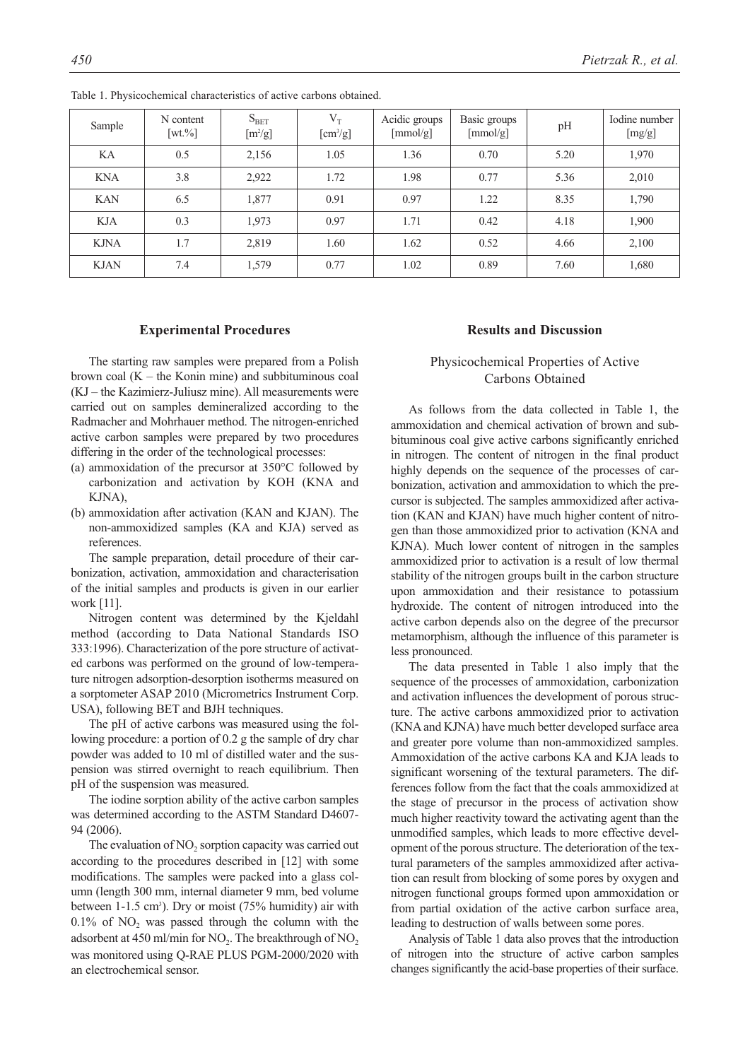| Sample      | N content<br>$[wt. \%]$ | $S_{BET}$<br>$[m^2/g]$ | $V_T$<br>$[cm^3/g]$ | Acidic groups<br>[mmol/g] | Basic groups<br>[mmol/g] | pH   | Iodine number<br>[mg/g] |
|-------------|-------------------------|------------------------|---------------------|---------------------------|--------------------------|------|-------------------------|
| KA          | 0.5                     | 2,156                  | 1.05                | 1.36                      | 0.70                     | 5.20 | 1,970                   |
| <b>KNA</b>  | 3.8                     | 2,922                  | 1.72                | 1.98                      | 0.77                     | 5.36 | 2,010                   |
| <b>KAN</b>  | 6.5                     | 1,877                  | 0.91                | 0.97                      | 1.22                     | 8.35 | 1,790                   |
| KJA         | 0.3                     | 1,973                  | 0.97                | 1.71                      | 0.42                     | 4.18 | 1,900                   |
| <b>KJNA</b> | 1.7                     | 2,819                  | 1.60                | 1.62                      | 0.52                     | 4.66 | 2,100                   |
| <b>KJAN</b> | 7.4                     | 1,579                  | 0.77                | 1.02                      | 0.89                     | 7.60 | 1,680                   |

Table 1. Physicochemical characteristics of active carbons obtained.

#### **Experimental Procedures**

The starting raw samples were prepared from a Polish brown coal  $(K - the Konin mine)$  and subbituminous coal (KJ – the Kazimierz-Juliusz mine). All measurements were carried out on samples demineralized according to the Radmacher and Mohrhauer method. The nitrogen-enriched active carbon samples were prepared by two procedures differing in the order of the technological processes:

- (a) ammoxidation of the precursor at 350°C followed by carbonization and activation by KOH (KNA and KJNA),
- (b) ammoxidation after activation (KAN and KJAN). The non-ammoxidized samples (KA and KJA) served as references.

The sample preparation, detail procedure of their carbonization, activation, ammoxidation and characterisation of the initial samples and products is given in our earlier work [11].

Nitrogen content was determined by the Kjeldahl method (according to Data National Standards ISO 333:1996). Characterization of the pore structure of activated carbons was performed on the ground of low-temperature nitrogen adsorption-desorption isotherms measured on a sorptometer ASAP 2010 (Micrometrics Instrument Corp. USA), following BET and BJH techniques.

The pH of active carbons was measured using the following procedure: a portion of 0.2 g the sample of dry char powder was added to 10 ml of distilled water and the suspension was stirred overnight to reach equilibrium. Then pH of the suspension was measured.

The iodine sorption ability of the active carbon samples was determined according to the ASTM Standard D4607- 94 (2006).

The evaluation of  $NO<sub>2</sub>$  sorption capacity was carried out according to the procedures described in [12] with some modifications. The samples were packed into a glass column (length 300 mm, internal diameter 9 mm, bed volume between 1-1.5 cm<sup>3</sup>). Dry or moist (75% humidity) air with  $0.1\%$  of NO<sub>2</sub> was passed through the column with the adsorbent at 450 ml/min for  $NO<sub>2</sub>$ . The breakthrough of  $NO<sub>2</sub>$ was monitored using Q-RAE PLUS PGM-2000/2020 with an electrochemical sensor.

# **Results and Discussion**

## Physicochemical Properties of Active Carbons Obtained

As follows from the data collected in Table 1, the ammoxidation and chemical activation of brown and subbituminous coal give active carbons significantly enriched in nitrogen. The content of nitrogen in the final product highly depends on the sequence of the processes of carbonization, activation and ammoxidation to which the precursor is subjected. The samples ammoxidized after activation (KAN and KJAN) have much higher content of nitrogen than those ammoxidized prior to activation (KNA and KJNA). Much lower content of nitrogen in the samples ammoxidized prior to activation is a result of low thermal stability of the nitrogen groups built in the carbon structure upon ammoxidation and their resistance to potassium hydroxide. The content of nitrogen introduced into the active carbon depends also on the degree of the precursor metamorphism, although the influence of this parameter is less pronounced.

The data presented in Table 1 also imply that the sequence of the processes of ammoxidation, carbonization and activation influences the development of porous structure. The active carbons ammoxidized prior to activation (KNA and KJNA) have much better developed surface area and greater pore volume than non-ammoxidized samples. Ammoxidation of the active carbons KA and KJA leads to significant worsening of the textural parameters. The differences follow from the fact that the coals ammoxidized at the stage of precursor in the process of activation show much higher reactivity toward the activating agent than the unmodified samples, which leads to more effective development of the porous structure. The deterioration of the textural parameters of the samples ammoxidized after activation can result from blocking of some pores by oxygen and nitrogen functional groups formed upon ammoxidation or from partial oxidation of the active carbon surface area, leading to destruction of walls between some pores.

Analysis of Table 1 data also proves that the introduction of nitrogen into the structure of active carbon samples changes significantly the acid-base properties of their surface.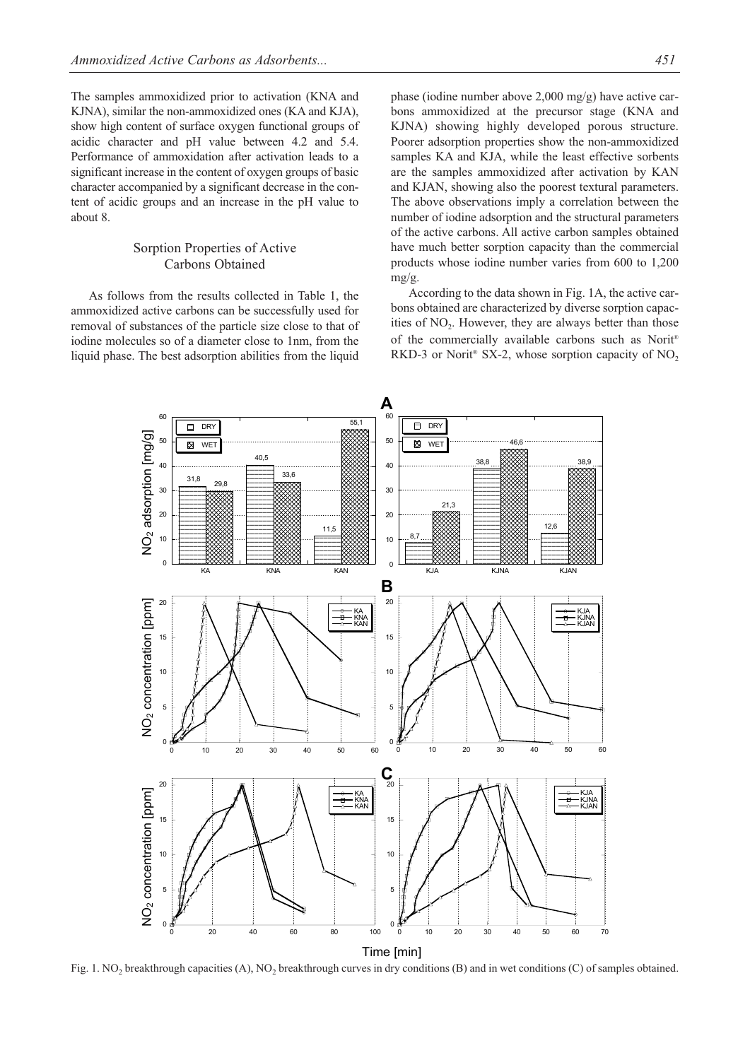The samples ammoxidized prior to activation (KNA and KJNA), similar the non-ammoxidized ones (KA and KJA), show high content of surface oxygen functional groups of acidic character and pH value between 4.2 and 5.4. Performance of ammoxidation after activation leads to a significant increase in the content of oxygen groups of basic character accompanied by a significant decrease in the content of acidic groups and an increase in the pH value to about 8.

# Sorption Properties of Active Carbons Obtained

As follows from the results collected in Table 1, the ammoxidized active carbons can be successfully used for removal of substances of the particle size close to that of iodine molecules so of a diameter close to 1nm, from the liquid phase. The best adsorption abilities from the liquid phase (iodine number above 2,000 mg/g) have active carbons ammoxidized at the precursor stage (KNA and KJNA) showing highly developed porous structure. Poorer adsorption properties show the non-ammoxidized samples KA and KJA, while the least effective sorbents are the samples ammoxidized after activation by KAN and KJAN, showing also the poorest textural parameters. The above observations imply a correlation between the number of iodine adsorption and the structural parameters of the active carbons. All active carbon samples obtained have much better sorption capacity than the commercial products whose iodine number varies from 600 to 1,200 mg/g.

According to the data shown in Fig. 1A, the active carbons obtained are characterized by diverse sorption capacities of  $NO<sub>2</sub>$ . However, they are always better than those of the commercially available carbons such as Norit® RKD-3 or Norit<sup>®</sup> SX-2, whose sorption capacity of NO<sub>2</sub>



Fig. 1. NO<sub>2</sub> breakthrough capacities (A), NO<sub>2</sub> breakthrough curves in dry conditions (B) and in wet conditions (C) of samples obtained.